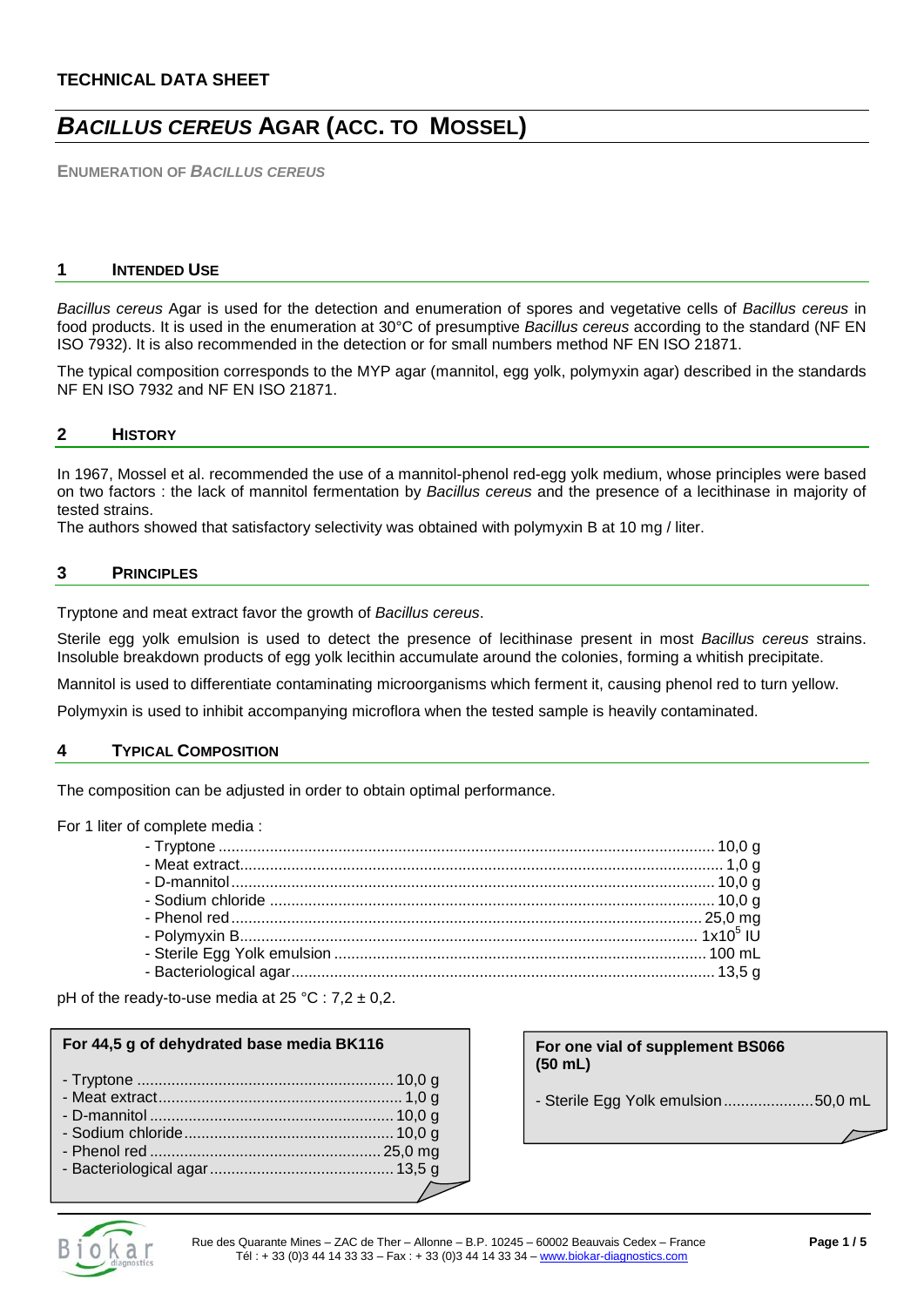# **TECHNICAL DATA SHEET**

# *BACILLUS CEREUS* **AGAR (ACC. TO MOSSEL)**

**ENUMERATION OF** *BACILLUS CEREUS*

#### **1 INTENDED USE**

*Bacillus cereus* Agar is used for the detection and enumeration of spores and vegetative cells of *Bacillus cereus* in food products. It is used in the enumeration at 30°C of presumptive *Bacillus cereus* according to the standard (NF EN ISO 7932). It is also recommended in the detection or for small numbers method NF EN ISO 21871.

The typical composition corresponds to the MYP agar (mannitol, egg yolk, polymyxin agar) described in the standards NF EN ISO 7932 and NF EN ISO 21871.

#### **2 HISTORY**

In 1967, Mossel et al. recommended the use of a mannitol-phenol red-egg yolk medium, whose principles were based on two factors : the lack of mannitol fermentation by *Bacillus cereus* and the presence of a lecithinase in majority of tested strains.

The authors showed that satisfactory selectivity was obtained with polymyxin B at 10 mg / liter.

#### **3 PRINCIPLES**

Tryptone and meat extract favor the growth of *Bacillus cereus*.

Sterile egg yolk emulsion is used to detect the presence of lecithinase present in most *Bacillus cereus* strains. Insoluble breakdown products of egg yolk lecithin accumulate around the colonies, forming a whitish precipitate.

Mannitol is used to differentiate contaminating microorganisms which ferment it, causing phenol red to turn yellow.

Polymyxin is used to inhibit accompanying microflora when the tested sample is heavily contaminated.

## **4 TYPICAL COMPOSITION**

The composition can be adjusted in order to obtain optimal performance.

For 1 liter of complete media :

pH of the ready-to-use media at  $25 \text{ °C}$  :  $7.2 \pm 0.2$ .

#### **For 44,5 g of dehydrated base media BK116**

#### **For one vial of supplement BS066 (50 mL)**

- Sterile Egg Yolk emulsion.....................50,0 mL

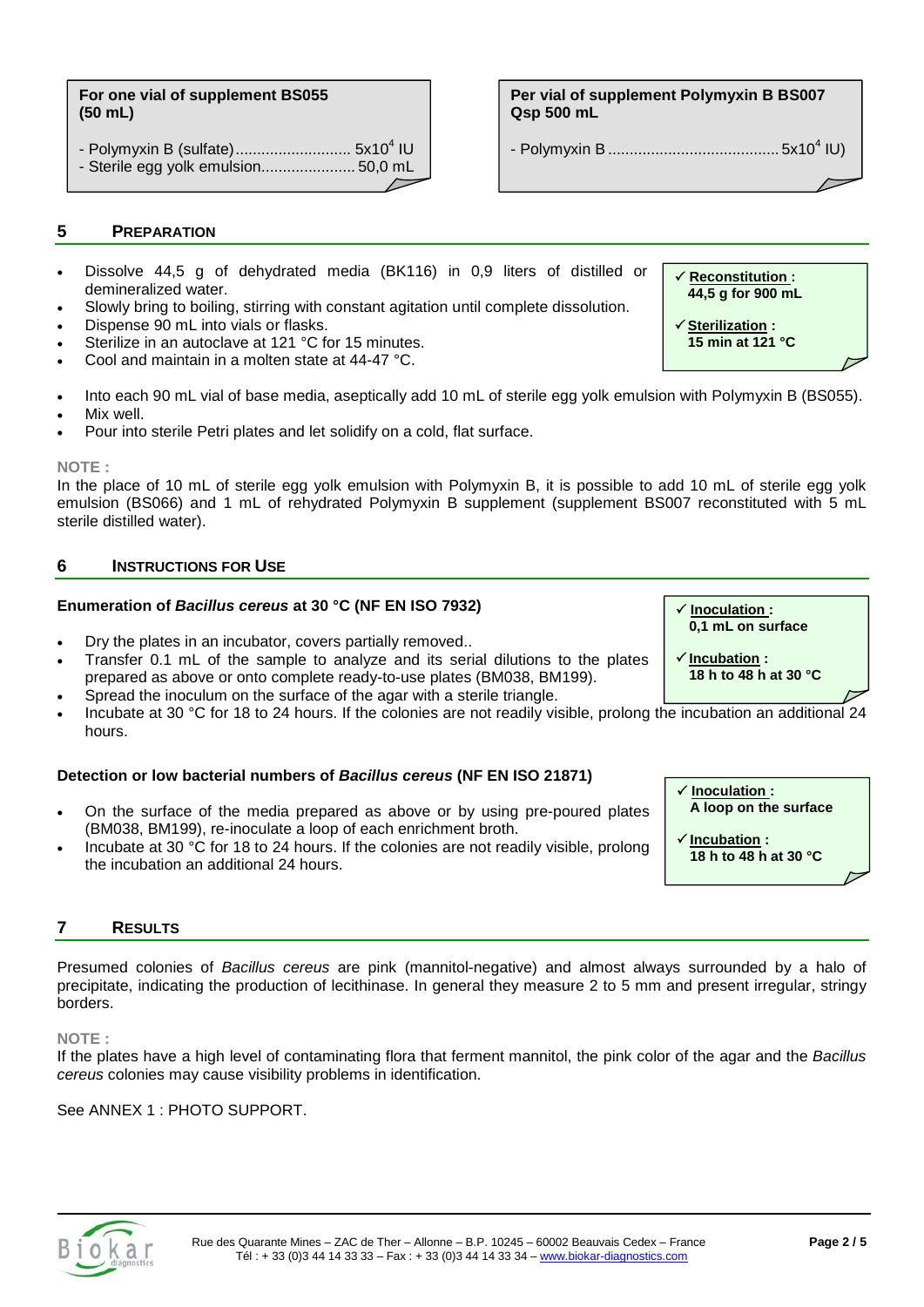#### **For one vial of supplement BS055 (50 mL)**

- Polymyxin B (sulfate)........................... 5x10<sup>4</sup> IU - Sterile egg yolk emulsion...................... 50,0 mL

## **5 PREPARATION**

- Dissolve 44,5 g of dehydrated media (BK116) in 0,9 liters of distilled or demineralized water.
- Slowly bring to boiling, stirring with constant agitation until complete dissolution.
- Dispense 90 mL into vials or flasks.
- Sterilize in an autoclave at 121 °C for 15 minutes.
- Cool and maintain in a molten state at 44-47 °C.
- Into each 90 mL vial of base media, aseptically add 10 mL of sterile egg yolk emulsion with Polymyxin B (BS055).
- Mix well.
- Pour into sterile Petri plates and let solidify on a cold, flat surface.

#### **NOTE :**

In the place of 10 mL of sterile egg yolk emulsion with Polymyxin B, it is possible to add 10 mL of sterile egg yolk emulsion (BS066) and 1 mL of rehydrated Polymyxin B supplement (supplement BS007 reconstituted with 5 mL sterile distilled water).

#### **6 INSTRUCTIONS FOR USE**

#### **Enumeration of** *Bacillus cereus* **at 30 °C (NF EN ISO 7932)**

- Dry the plates in an incubator, covers partially removed..
- Transfer 0.1 mL of the sample to analyze and its serial dilutions to the plates prepared as above or onto complete ready-to-use plates (BM038, BM199). • Spread the inoculum on the surface of the agar with a sterile triangle.
- Incubate at 30 °C for 18 to 24 hours. If the colonies are not readily visible, prolong the incubation an additional 24 hours.

## **Detection or low bacterial numbers of** *Bacillus cereus* **(NF EN ISO 21871)**

- On the surface of the media prepared as above or by using pre-poured plates (BM038, BM199), re-inoculate a loop of each enrichment broth.
- Incubate at 30 °C for 18 to 24 hours. If the colonies are not readily visible, prolong the incubation an additional 24 hours.

## **7 RESULTS**

Presumed colonies of *Bacillus cereus* are pink (mannitol-negative) and almost always surrounded by a halo of precipitate, indicating the production of lecithinase. In general they measure 2 to 5 mm and present irregular, stringy borders.

#### **NOTE :**

If the plates have a high level of contaminating flora that ferment mannitol, the pink color of the agar and the *Bacillus cereus* colonies may cause visibility problems in identification.

#### See ANNEX 1 : PHOTO SUPPORT.

**Per vial of supplement Polymyxin B BS007 Qsp 500 mL**

- Polymyxin B ........................................ 5x104 IU)



 **Inoculation : 0,1 mL on surface**

**18 h to 48 h at 30 °C**

**Incubation :** 

 **Reconstitution : 44,5 g for 900 mL**

 **Sterilization : 15 min at 121 °C**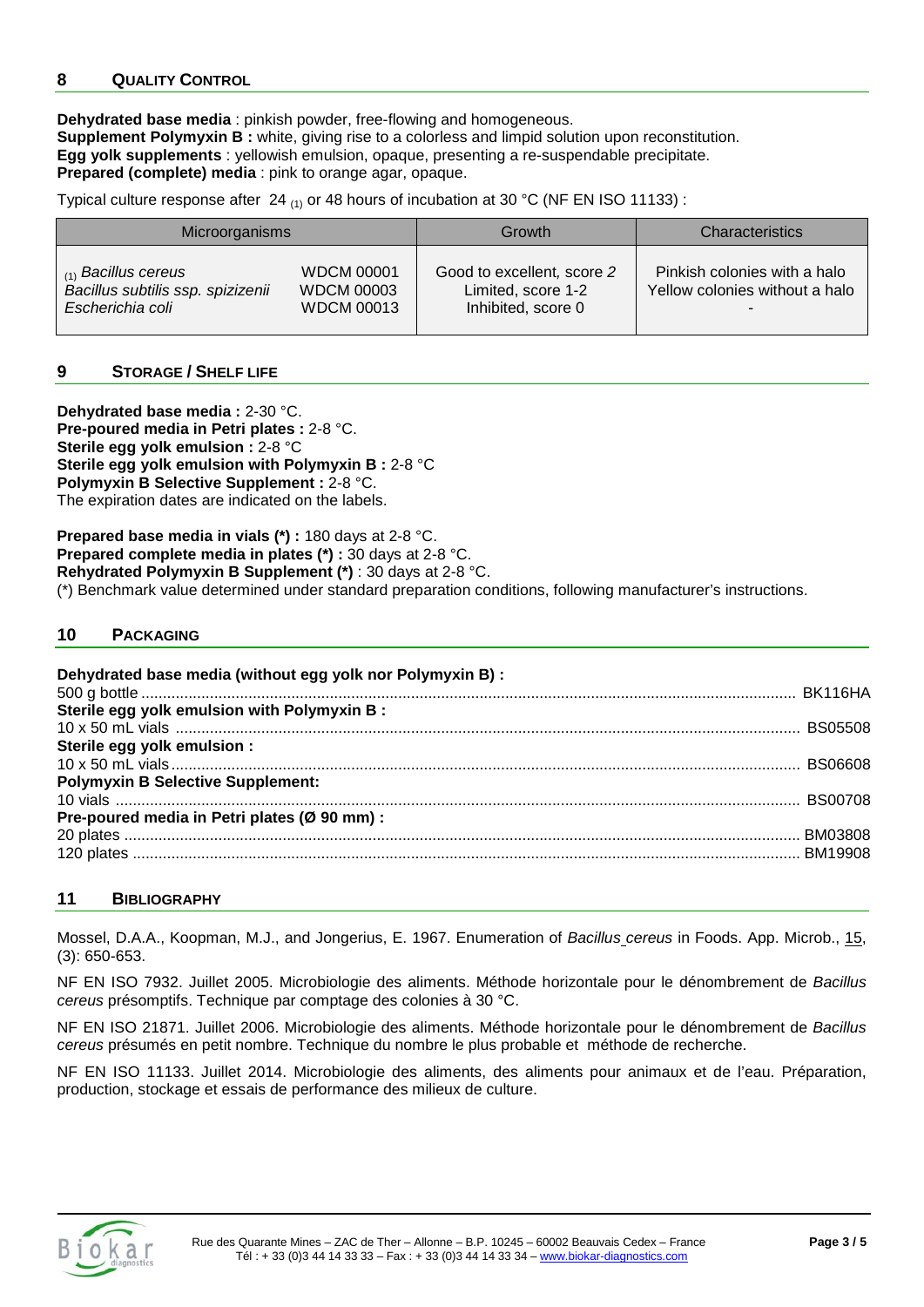## **8 QUALITY CONTROL**

**Dehydrated base media** : pinkish powder, free-flowing and homogeneous. **Supplement Polymyxin B :** white, giving rise to a colorless and limpid solution upon reconstitution. **Egg yolk supplements** : yellowish emulsion, opaque, presenting a re-suspendable precipitate. **Prepared (complete) media** : pink to orange agar, opaque.

Typical culture response after 24  $_{(1)}$  or 48 hours of incubation at 30 °C (NF EN ISO 11133) :

| Microorganisms                    |                   | Growth                     | <b>Characteristics</b>         |
|-----------------------------------|-------------------|----------------------------|--------------------------------|
| $_{(1)}$ Bacillus cereus          | <b>WDCM 00001</b> | Good to excellent, score 2 | Pinkish colonies with a halo   |
| Bacillus subtilis ssp. spizizenii | <b>WDCM 00003</b> | Limited, score 1-2         | Yellow colonies without a halo |
| Escherichia coli                  | <b>WDCM 00013</b> | Inhibited, score 0         | $\overline{\phantom{a}}$       |

## **9 STORAGE / SHELF LIFE**

**Dehydrated base media :** 2-30 °C. **Pre-poured media in Petri plates :** 2-8 °C. **Sterile egg yolk emulsion :** 2-8 °C **Sterile egg yolk emulsion with Polymyxin B :** 2-8 °C **Polymyxin B Selective Supplement :** 2-8 °C. The expiration dates are indicated on the labels.

**Prepared base media in vials (\*) :** 180 days at 2-8 °C. **Prepared complete media in plates (\*) :** 30 days at 2-8 °C. **Rehydrated Polymyxin B Supplement (\*)** : 30 days at 2-8 °C. (\*) Benchmark value determined under standard preparation conditions, following manufacturer's instructions.

## **10 PACKAGING**

#### **Dehydrated base media (without egg yolk nor Polymyxin B) :** 500 g bottle ......................................................................................................................................................... BK116HA **Sterile egg yolk emulsion with Polymyxin B :** 10 x 50 mL vials .................................................................................................................................................. BS05508 **Sterile egg yolk emulsion :** 10 x 50 mL vials ................................................................................................................................................... BS06608 **Polymyxin B Selective Supplement:** 10 vials ................................................................................................................................................................ BS00708 **Pre-poured media in Petri plates (Ø 90 mm) :** 20 plates .............................................................................................................................................................. BM03808 120 plates ............................................................................................................................................................ BM19908

## **11 BIBLIOGRAPHY**

Mossel, D.A.A., Koopman, M.J., and Jongerius, E. 1967. Enumeration of *Bacillus cereus* in Foods. App. Microb., 15, (3): 650-653.

NF EN ISO 7932. Juillet 2005. Microbiologie des aliments. Méthode horizontale pour le dénombrement de *Bacillus cereus* présomptifs. Technique par comptage des colonies à 30 °C.

NF EN ISO 21871. Juillet 2006. Microbiologie des aliments. Méthode horizontale pour le dénombrement de *Bacillus cereus* présumés en petit nombre. Technique du nombre le plus probable et méthode de recherche.

NF EN ISO 11133. Juillet 2014. Microbiologie des aliments, des aliments pour animaux et de l'eau. Préparation, production, stockage et essais de performance des milieux de culture.

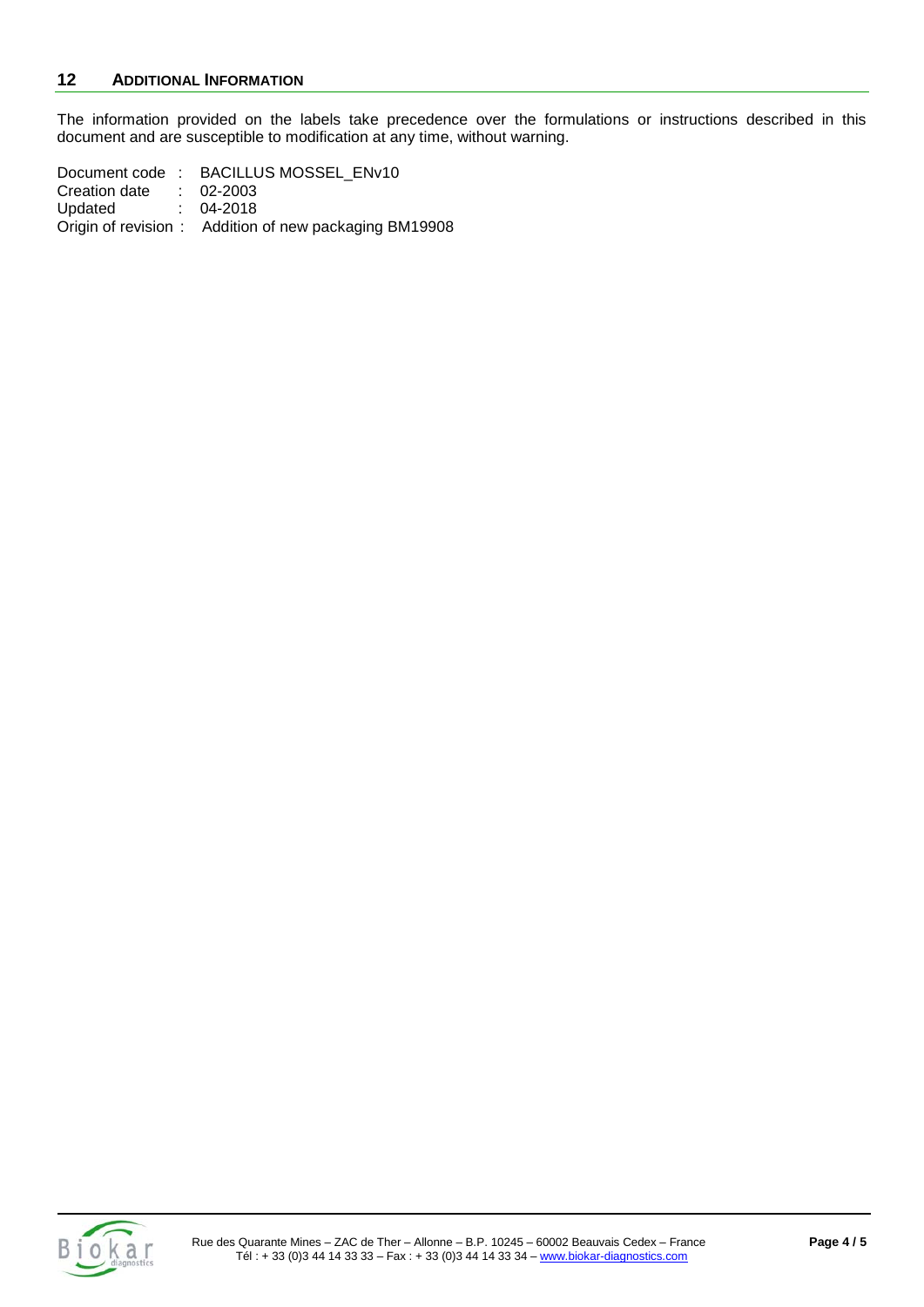The information provided on the labels take precedence over the formulations or instructions described in this document and are susceptible to modification at any time, without warning.

Document code : BACILLUS MOSSEL\_ENv10 Creation date : 02-2003<br>Updated : 04-2018 Updated : Origin of revision : Addition of new packaging BM19908